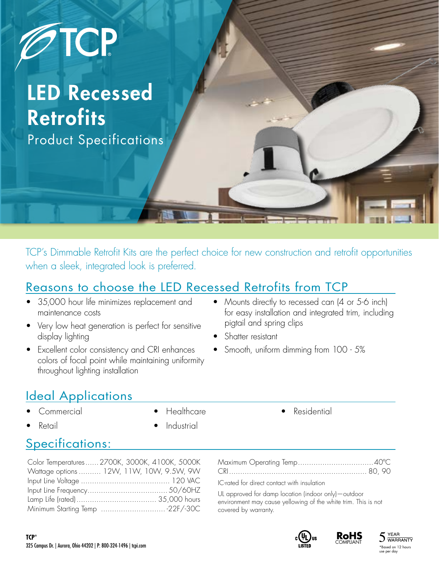

# LED Recessed **Retrofits**

Product Specifications

TCP's Dimmable Retrofit Kits are the perfect choice for new construction and retrofit opportunities when a sleek, integrated look is preferred.

#### Reasons to choose the LED Recessed Retrofits from TCP

- 35,000 hour life minimizes replacement and maintenance costs
- Very low heat generation is perfect for sensitive display lighting
- Excellent color consistency and CRI enhances colors of focal point while maintaining uniformity throughout lighting installation
- Mounts directly to recessed can (4 or 5-6 inch) for easy installation and integrated trim, including pigtail and spring clips
- Shatter resistant
- Smooth, uniform dimming from 100 5%

# Ideal Applications

- Commercial
- Retail

• Healthcare

**Industrial** 

**Residential** 

### Specifications:

| Color Temperatures 2700K, 3000K, 4100K, 5000K |
|-----------------------------------------------|
| Wattage options  12W, 11W, 10W, 9.5W, 9W      |
|                                               |
|                                               |
|                                               |
| Minimum Starting Temp 22F/-30C                |

| 그 그 사람들은 그 사람들은 그 사람들을 지르며 그 사람들을 지르며 그 사람들을 지르며 그 사람들을 지르며 그 사람들을 지르며 그 사람들을 지르며 그 사람들을 지르며 그 사람들을 지르며 그 사람들을 지르며 그 사람들을 지르며 그 사람들을 지르며 그 사람들을 지르며 그 사람들을 지르며 그 사람들을 지르며 그 사람들을 지르며 그 사람들을 지르며 그 사람들을 지르며 그 사람들을 지르며 그 사람들을 지 |  |
|--------------------------------------------------------------------------------------------------------------------------------------------------------------------------------------------------------------------------------|--|

IC-rated for direct contact with insulation

UL approved for damp location (indoor only)—outdoor environment may cause yellowing of the white trim. This is not covered by warranty.